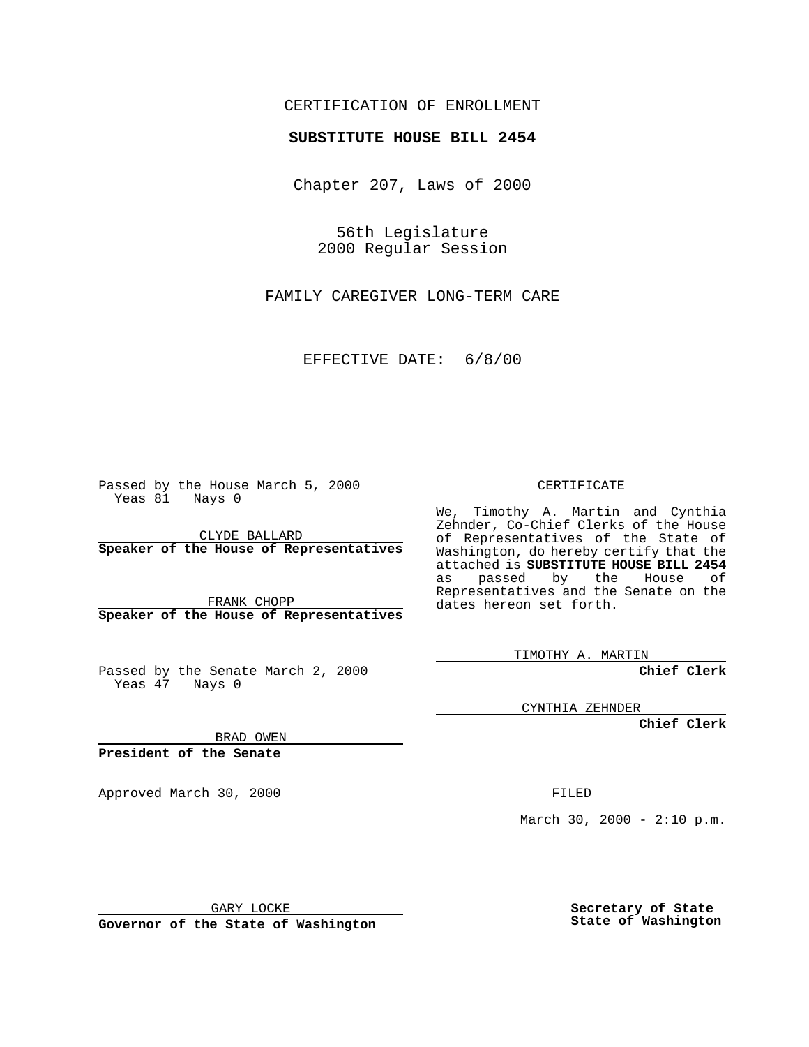## CERTIFICATION OF ENROLLMENT

## **SUBSTITUTE HOUSE BILL 2454**

Chapter 207, Laws of 2000

56th Legislature 2000 Regular Session

FAMILY CAREGIVER LONG-TERM CARE

EFFECTIVE DATE: 6/8/00

Passed by the House March 5, 2000 Yeas 81 Nays 0

CLYDE BALLARD **Speaker of the House of Representatives**

FRANK CHOPP **Speaker of the House of Representatives**

Passed by the Senate March 2, 2000 Yeas 47 Nays 0

CERTIFICATE

We, Timothy A. Martin and Cynthia Zehnder, Co-Chief Clerks of the House of Representatives of the State of Washington, do hereby certify that the attached is **SUBSTITUTE HOUSE BILL 2454** as passed by the House of Representatives and the Senate on the dates hereon set forth.

TIMOTHY A. MARTIN

**Chief Clerk**

CYNTHIA ZEHNDER

**Chief Clerk**

BRAD OWEN

**President of the Senate**

Approved March 30, 2000 FILED

March 30, 2000 -  $2:10$  p.m.

GARY LOCKE

**Governor of the State of Washington**

**Secretary of State State of Washington**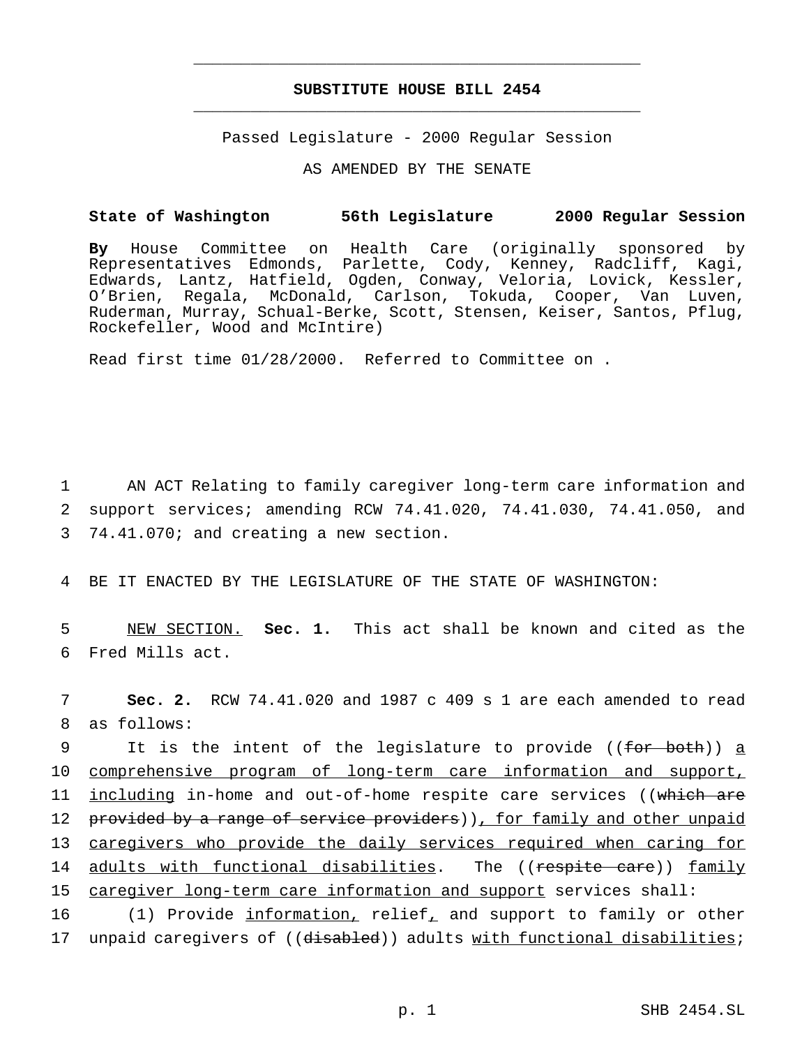## **SUBSTITUTE HOUSE BILL 2454** \_\_\_\_\_\_\_\_\_\_\_\_\_\_\_\_\_\_\_\_\_\_\_\_\_\_\_\_\_\_\_\_\_\_\_\_\_\_\_\_\_\_\_\_\_\_\_

\_\_\_\_\_\_\_\_\_\_\_\_\_\_\_\_\_\_\_\_\_\_\_\_\_\_\_\_\_\_\_\_\_\_\_\_\_\_\_\_\_\_\_\_\_\_\_

Passed Legislature - 2000 Regular Session

AS AMENDED BY THE SENATE

## **State of Washington 56th Legislature 2000 Regular Session**

**By** House Committee on Health Care (originally sponsored by Representatives Edmonds, Parlette, Cody, Kenney, Radcliff, Kagi, Edwards, Lantz, Hatfield, Ogden, Conway, Veloria, Lovick, Kessler, O'Brien, Regala, McDonald, Carlson, Tokuda, Cooper, Van Luven, Ruderman, Murray, Schual-Berke, Scott, Stensen, Keiser, Santos, Pflug, Rockefeller, Wood and McIntire)

Read first time 01/28/2000. Referred to Committee on .

1 AN ACT Relating to family caregiver long-term care information and 2 support services; amending RCW 74.41.020, 74.41.030, 74.41.050, and 3 74.41.070; and creating a new section.

4 BE IT ENACTED BY THE LEGISLATURE OF THE STATE OF WASHINGTON:

5 NEW SECTION. **Sec. 1.** This act shall be known and cited as the 6 Fred Mills act.

7 **Sec. 2.** RCW 74.41.020 and 1987 c 409 s 1 are each amended to read 8 as follows:

9 It is the intent of the legislature to provide ((for both)) a 10 comprehensive program of long-term care information and support, 11 including in-home and out-of-home respite care services ((which are 12 provided by a range of service providers)), for family and other unpaid 13 caregivers who provide the daily services required when caring for 14 adults with functional disabilities. The ((respite care)) family 15 caregiver long-term care information and support services shall: 16 (1) Provide information, relief, and support to family or other

17 unpaid caregivers of ((disabled)) adults with functional disabilities;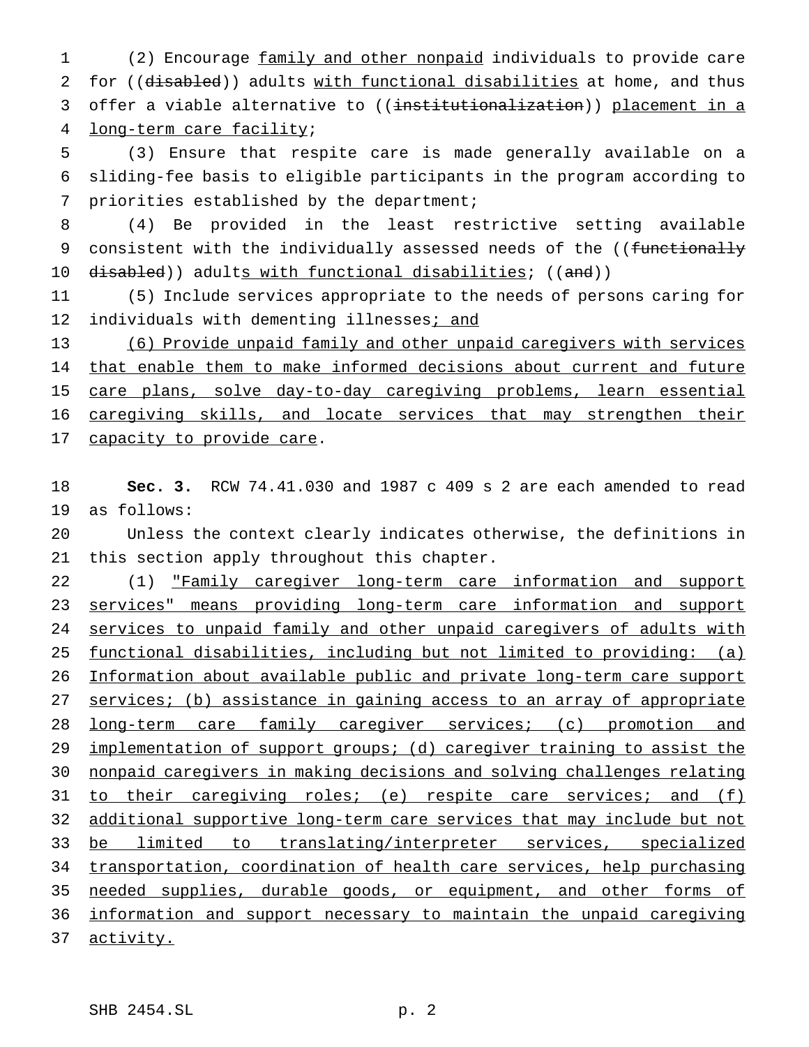(2) Encourage family and other nonpaid individuals to provide care 2 for ((disabled)) adults with functional disabilities at home, and thus 3 offer a viable alternative to ((institutionalization)) placement in a long-term care facility;

 (3) Ensure that respite care is made generally available on a sliding-fee basis to eligible participants in the program according to priorities established by the department;

 (4) Be provided in the least restrictive setting available 9 consistent with the individually assessed needs of the ((functionally 10 disabled)) adults with functional disabilities; ((and))

 (5) Include services appropriate to the needs of persons caring for 12 individuals with dementing illnesses; and

 (6) Provide unpaid family and other unpaid caregivers with services 14 that enable them to make informed decisions about current and future care plans, solve day-to-day caregiving problems, learn essential caregiving skills, and locate services that may strengthen their 17 capacity to provide care.

 **Sec. 3.** RCW 74.41.030 and 1987 c 409 s 2 are each amended to read as follows:

 Unless the context clearly indicates otherwise, the definitions in this section apply throughout this chapter.

22 (1) <u>"Family caregiver long-term care information and support</u> services" means providing long-term care information and support 24 services to unpaid family and other unpaid caregivers of adults with functional disabilities, including but not limited to providing: (a) Information about available public and private long-term care support 27 services; (b) assistance in gaining access to an array of appropriate 28 long-term care family caregiver services; (c) promotion and implementation of support groups; (d) caregiver training to assist the nonpaid caregivers in making decisions and solving challenges relating 31 to their caregiving roles; (e) respite care services; and (f) additional supportive long-term care services that may include but not be limited to translating/interpreter services, specialized transportation, coordination of health care services, help purchasing 35 needed supplies, durable goods, or equipment, and other forms of information and support necessary to maintain the unpaid caregiving activity.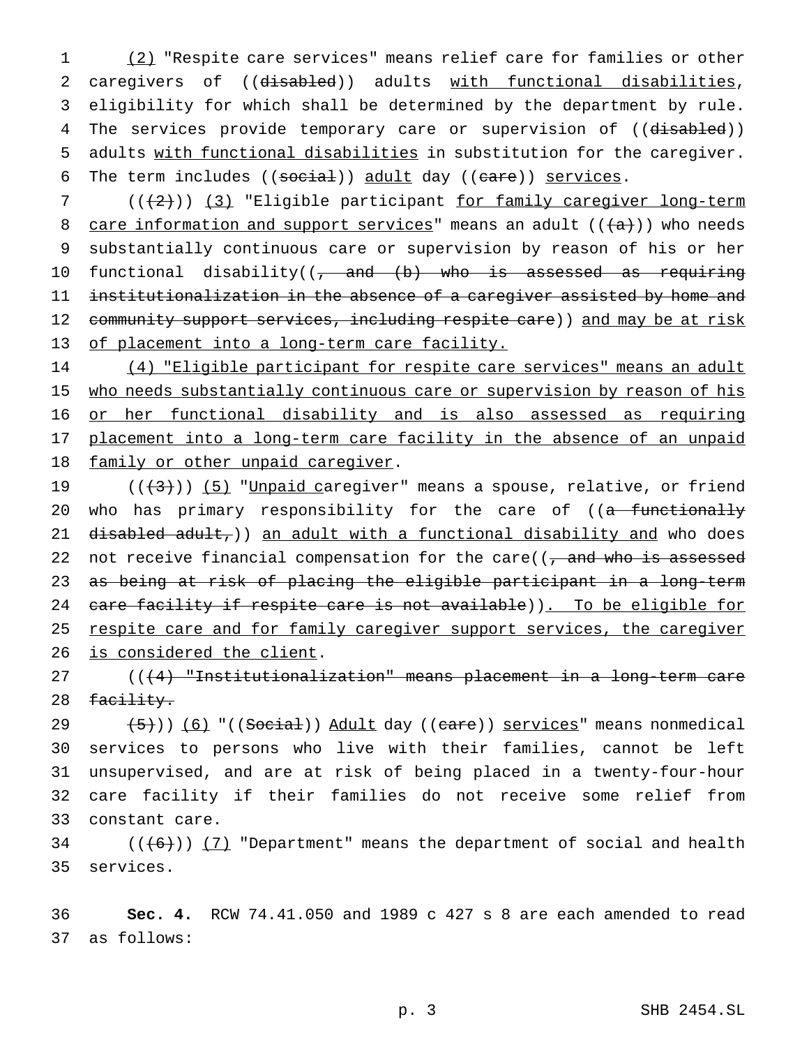1 (2) "Respite care services" means relief care for families or other 2 caregivers of ((disabled)) adults with functional disabilities, 3 eligibility for which shall be determined by the department by rule. 4 The services provide temporary care or supervision of ((disabled)) 5 adults with functional disabilities in substitution for the caregiver. 6 The term includes ((social)) adult day ((care)) services.

7 (((2)) (3) "Eligible participant for family caregiver long-term 8 care information and support services" means an adult  $((a+))$  who needs 9 substantially continuous care or supervision by reason of his or her 10 functional disability((, and (b) who is assessed as requiring 11 institutionalization in the absence of a caregiver assisted by home and 12 community support services, including respite care)) and may be at risk 13 of placement into a long-term care facility.

14 (4) "Eligible participant for respite care services" means an adult 15 who needs substantially continuous care or supervision by reason of his 16 or her functional disability and is also assessed as requiring 17 placement into a long-term care facility in the absence of an unpaid 18 family or other unpaid caregiver.

19  $((+3))$  (5) "Unpaid caregiver" means a spouse, relative, or friend 20 who has primary responsibility for the care of ((a functionally 21 disabled adult,)) an adult with a functional disability and who does 22 not receive financial compensation for the care( $($ , and who is assessed 23 as being at risk of placing the eligible participant in a long-term 24 care facility if respite care is not available)). To be eligible for 25 respite care and for family caregiver support services, the caregiver 26 is considered the client.

27 (((4) "Institutionalization" means placement in a long-term care 28 <del>facility.</del>

 $(5)$  (6) "((Social)) Adult day ((care)) services" means nonmedical services to persons who live with their families, cannot be left unsupervised, and are at risk of being placed in a twenty-four-hour care facility if their families do not receive some relief from constant care.

34 ( $(\overline{6})$ ) (7) "Department" means the department of social and health 35 services.

36 **Sec. 4.** RCW 74.41.050 and 1989 c 427 s 8 are each amended to read 37 as follows: